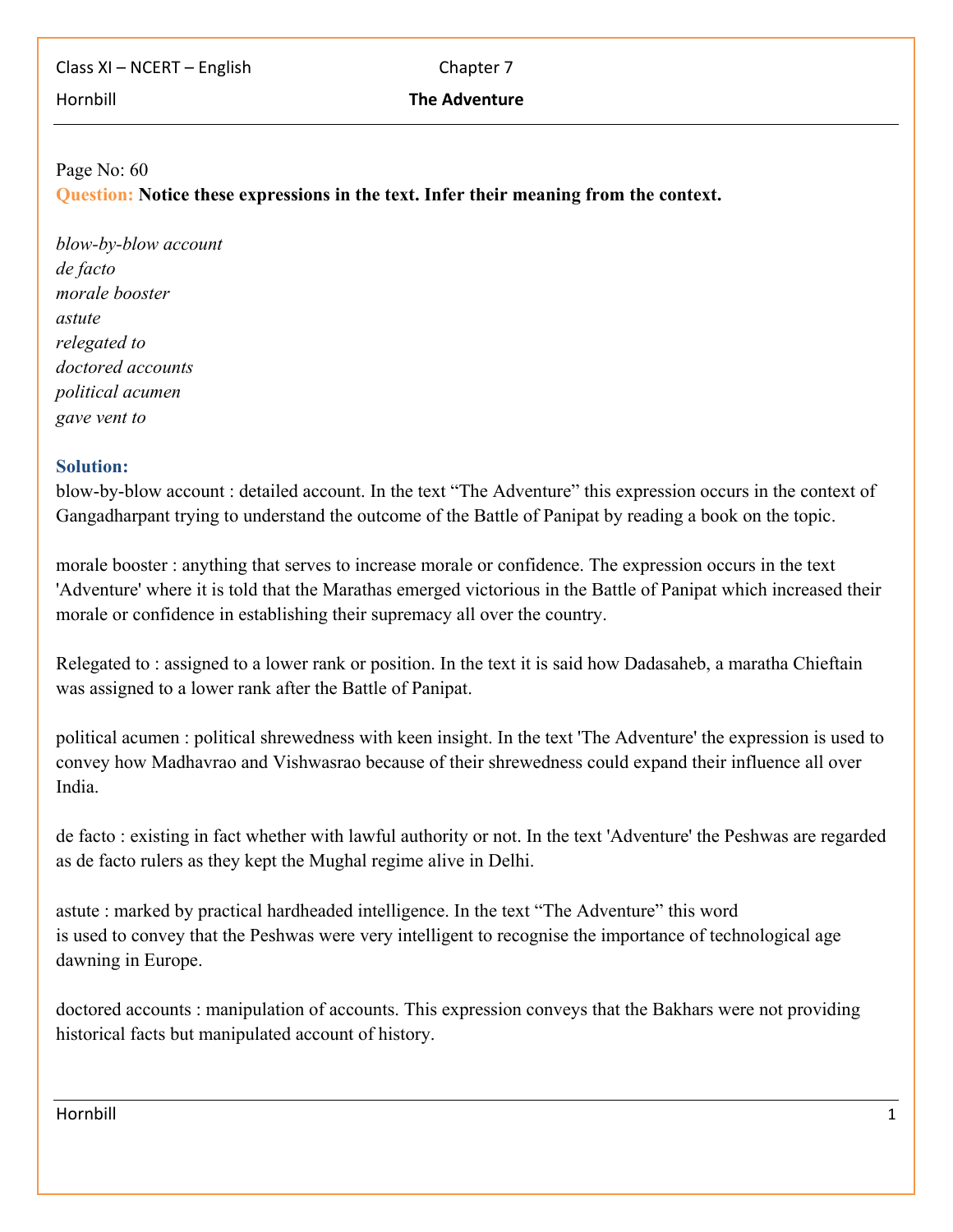Class XI – NCERT – English Chapter 7 Hornbill **The Adventure** 

### Page No: 60 **Question: Notice these expressions in the text. Infer their meaning from the context.**

*blow-by-blow account de facto morale booster astute relegated to doctored accounts political acumen gave vent to*

### **Solution:**

blow-by-blow account : detailed account. In the text "The Adventure" this expression occurs in the context of Gangadharpant trying to understand the outcome of the Battle of Panipat by reading a book on the topic.

morale booster : anything that serves to increase morale or confidence. The expression occurs in the text 'Adventure' where it is told that the Marathas emerged victorious in the Battle of Panipat which increased their morale or confidence in establishing their supremacy all over the country.

Relegated to : assigned to a lower rank or position. In the text it is said how Dadasaheb, a maratha Chieftain was assigned to a lower rank after the Battle of Panipat.

political acumen : political shrewedness with keen insight. In the text 'The Adventure' the expression is used to convey how Madhavrao and Vishwasrao because of their shrewedness could expand their influence all over India.

de facto : existing in fact whether with lawful authority or not. In the text 'Adventure' the Peshwas are regarded as de facto rulers as they kept the Mughal regime alive in Delhi.

astute : marked by practical hardheaded intelligence. In the text "The Adventure" this word is used to convey that the Peshwas were very intelligent to recognise the importance of technological age dawning in Europe.

doctored accounts : manipulation of accounts. This expression conveys that the Bakhars were not providing historical facts but manipulated account of history.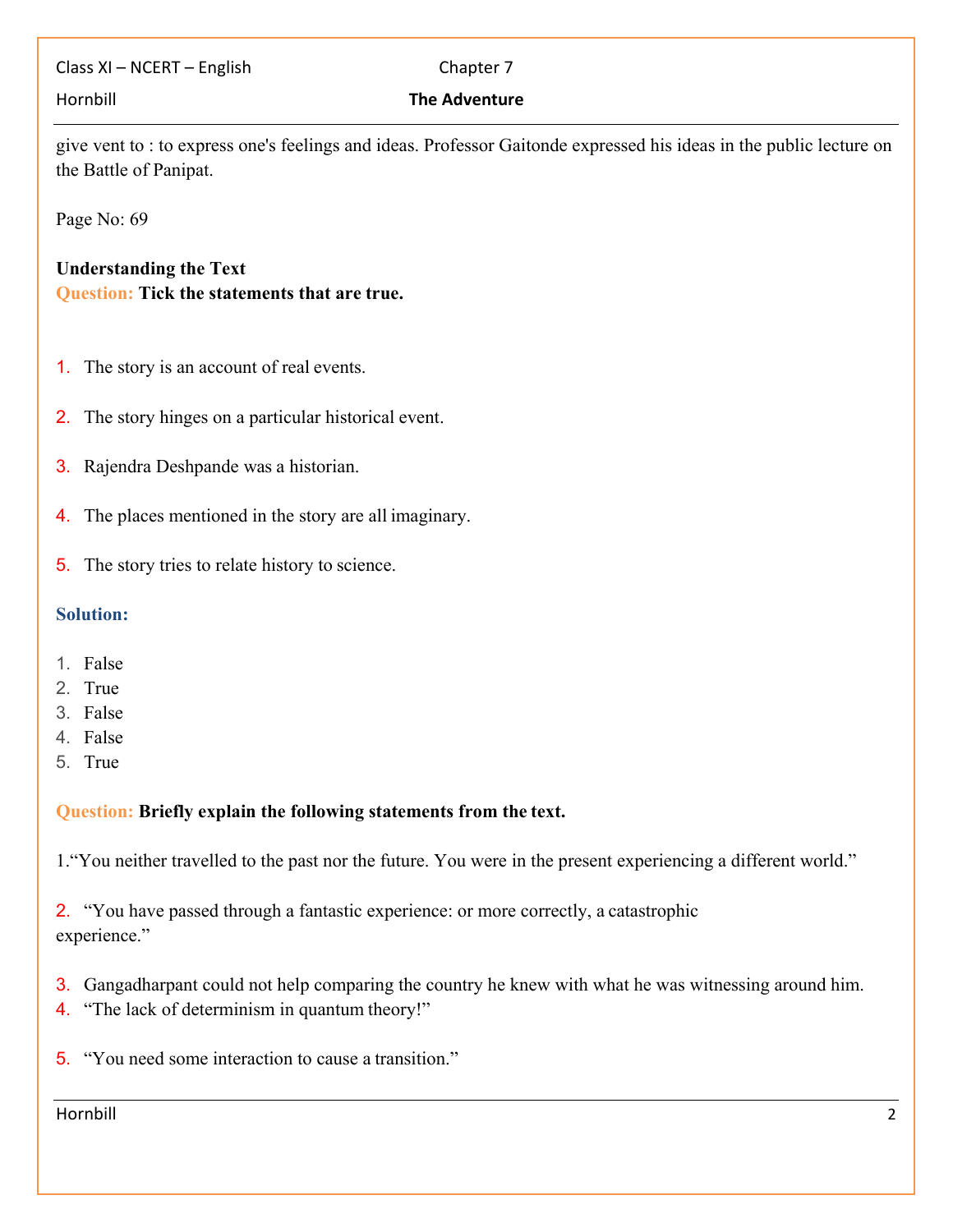Class XI – NCERT – English Chapter 7

## Hornbill **The Adventure**

give vent to : to express one's feelings and ideas. Professor Gaitonde expressed his ideas in the public lecture on the Battle of Panipat.

Page No: 69

# **Understanding the Text Question: Tick the statements that are true.**

- 1. The story is an account of real events.
- 2. The story hinges on a particular historical event.
- 3. Rajendra Deshpande was a historian.
- 4. The places mentioned in the story are all imaginary.
- 5. The story tries to relate history to science.

### **Solution:**

- 1. False
- 2. True
- 3. False
- 4. False
- 5. True

## **Question: Briefly explain the following statements from the text.**

1."You neither travelled to the past nor the future. You were in the present experiencing a different world."

2. "You have passed through a fantastic experience: or more correctly, a catastrophic experience."

- 3. Gangadharpant could not help comparing the country he knew with what he was witnessing around him.
- 4. "The lack of determinism in quantum theory!"
- 5. "You need some interaction to cause a transition."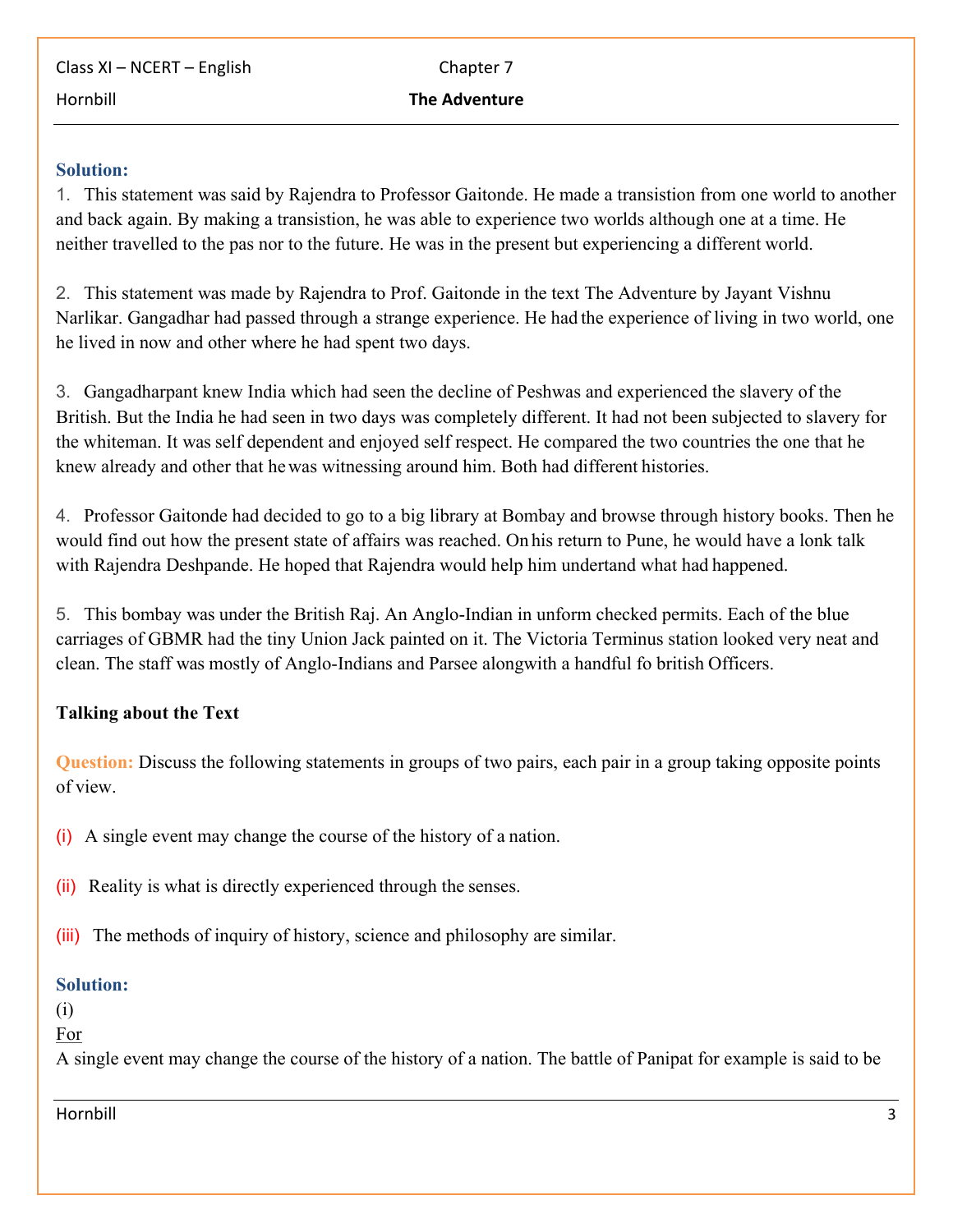Class XI – NCERT – English Chapter 7 Hornbill **The Adventure** 

### **Solution:**

1. This statement was said by Rajendra to Professor Gaitonde. He made a transistion from one world to another and back again. By making a transistion, he was able to experience two worlds although one at a time. He neither travelled to the pas nor to the future. He was in the present but experiencing a different world.

2. This statement was made by Rajendra to Prof. Gaitonde in the text The Adventure by Jayant Vishnu Narlikar. Gangadhar had passed through a strange experience. He had the experience of living in two world, one he lived in now and other where he had spent two days.

3. Gangadharpant knew India which had seen the decline of Peshwas and experienced the slavery of the British. But the India he had seen in two days was completely different. It had not been subjected to slavery for the whiteman. It was self dependent and enjoyed self respect. He compared the two countries the one that he knew already and other that hewas witnessing around him. Both had different histories.

4. Professor Gaitonde had decided to go to a big library at Bombay and browse through history books. Then he would find out how the present state of affairs was reached. On his return to Pune, he would have a lonk talk with Rajendra Deshpande. He hoped that Rajendra would help him undertand what had happened.

5. This bombay was under the British Raj. An Anglo-Indian in unform checked permits. Each of the blue carriages of GBMR had the tiny Union Jack painted on it. The Victoria Terminus station looked very neat and clean. The staff was mostly of Anglo-Indians and Parsee alongwith a handful fo british Officers.

## **Talking about the Text**

**Question:** Discuss the following statements in groups of two pairs, each pair in a group taking opposite points of view.

(i) A single event may change the course of the history of a nation.

(ii) Reality is what is directly experienced through the senses.

(iii) The methods of inquiry of history, science and philosophy are similar.

## **Solution:**

(i)

For

A single event may change the course of the history of a nation. The battle of Panipat for example is said to be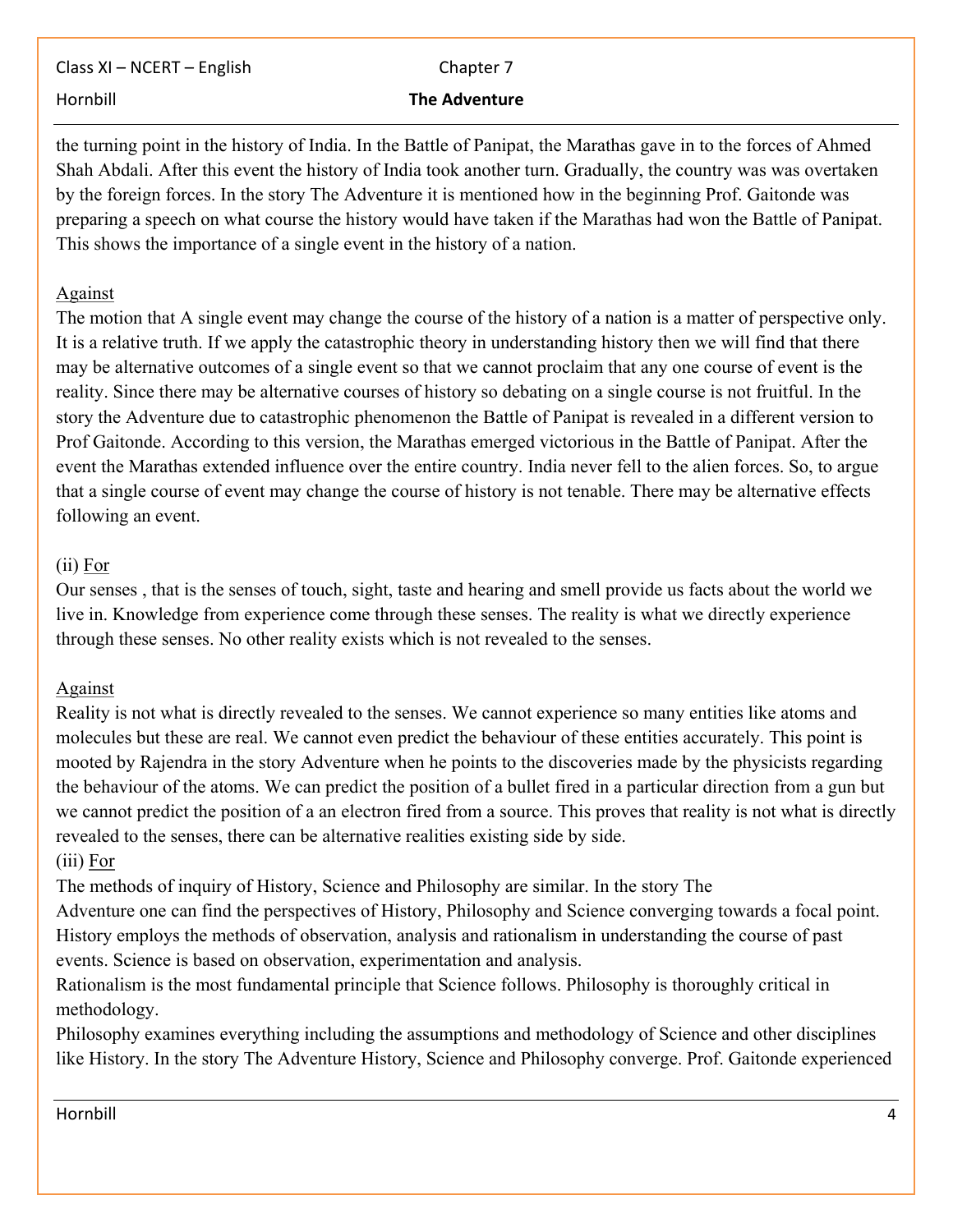Class XI – NCERT – English Chapter 7

Hornbill **The Adventure** 

the turning point in the history of India. In the Battle of Panipat, the Marathas gave in to the forces of Ahmed Shah Abdali. After this event the history of India took another turn. Gradually, the country was was overtaken by the foreign forces. In the story The Adventure it is mentioned how in the beginning Prof. Gaitonde was preparing a speech on what course the history would have taken if the Marathas had won the Battle of Panipat. This shows the importance of a single event in the history of a nation.

## Against

The motion that A single event may change the course of the history of a nation is a matter of perspective only. It is a relative truth. If we apply the catastrophic theory in understanding history then we will find that there may be alternative outcomes of a single event so that we cannot proclaim that any one course of event is the reality. Since there may be alternative courses of history so debating on a single course is not fruitful. In the story the Adventure due to catastrophic phenomenon the Battle of Panipat is revealed in a different version to Prof Gaitonde. According to this version, the Marathas emerged victorious in the Battle of Panipat. After the event the Marathas extended influence over the entire country. India never fell to the alien forces. So, to argue that a single course of event may change the course of history is not tenable. There may be alternative effects following an event.

# (ii) For

Our senses , that is the senses of touch, sight, taste and hearing and smell provide us facts about the world we live in. Knowledge from experience come through these senses. The reality is what we directly experience through these senses. No other reality exists which is not revealed to the senses.

# Against

Reality is not what is directly revealed to the senses. We cannot experience so many entities like atoms and molecules but these are real. We cannot even predict the behaviour of these entities accurately. This point is mooted by Rajendra in the story Adventure when he points to the discoveries made by the physicists regarding the behaviour of the atoms. We can predict the position of a bullet fired in a particular direction from a gun but we cannot predict the position of a an electron fired from a source. This proves that reality is not what is directly revealed to the senses, there can be alternative realities existing side by side.

# (iii) For

The methods of inquiry of History, Science and Philosophy are similar. In the story The

Adventure one can find the perspectives of History, Philosophy and Science converging towards a focal point. History employs the methods of observation, analysis and rationalism in understanding the course of past events. Science is based on observation, experimentation and analysis.

Rationalism is the most fundamental principle that Science follows. Philosophy is thoroughly critical in methodology.

Philosophy examines everything including the assumptions and methodology of Science and other disciplines like History. In the story The Adventure History, Science and Philosophy converge. Prof. Gaitonde experienced